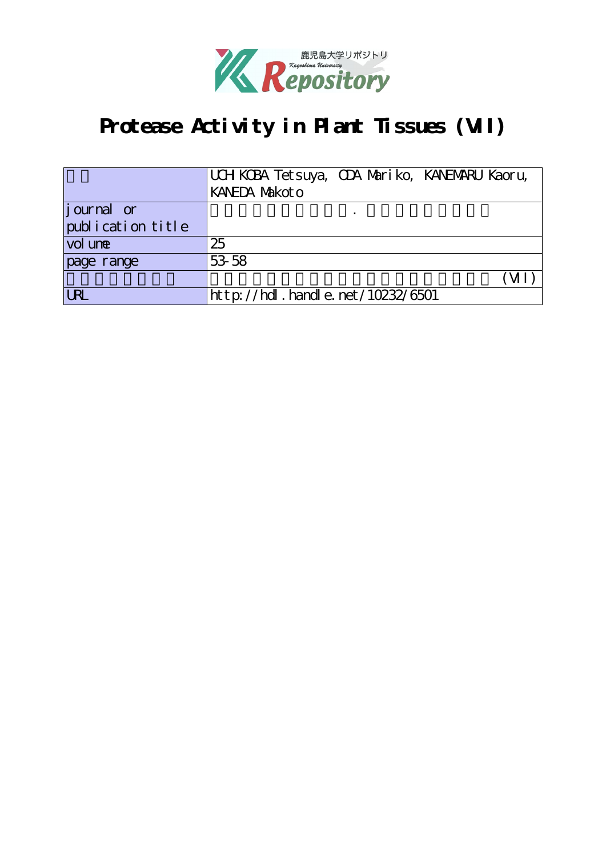

# Protease Activity in Plant Tissues (VII)

|                   | UCH KCBA Tetsuya, CDA Mariko, KANEMARU Kaoru, |
|-------------------|-----------------------------------------------|
|                   | KANEDA Nakot o                                |
| journal or        |                                               |
| publication title |                                               |
| vol une           | 25                                            |
| page range        | 53 58                                         |
|                   |                                               |
| URL               | http://hdl.handle.net/10232/6501              |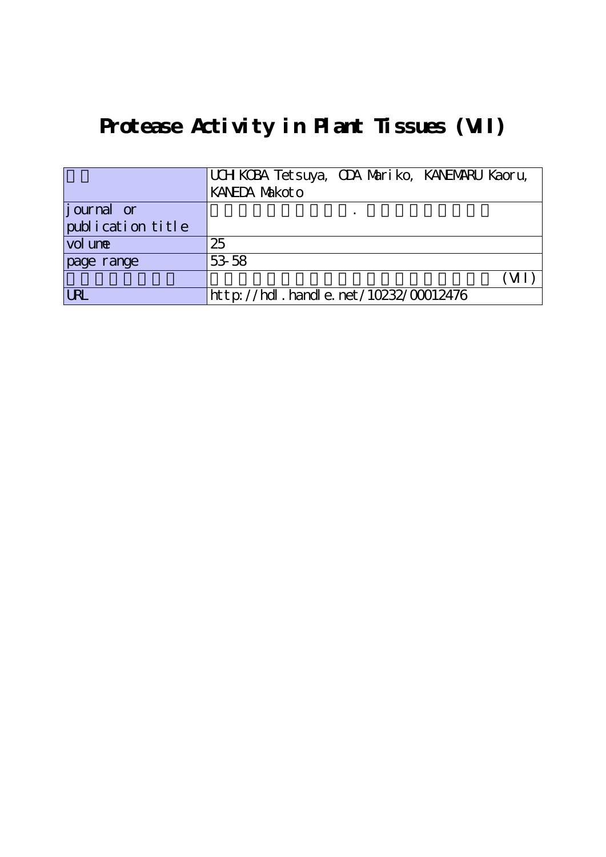# **Protease Activity in Plant Tissues (VII)**

|                   | UCH KCBA Tetsuya, CDA Mariko, KANEMARU Kaoru, |  |
|-------------------|-----------------------------------------------|--|
|                   | KANEDA Makot o                                |  |
| journal or        |                                               |  |
| publication title |                                               |  |
| vol une           | 25                                            |  |
| page range        | 53 58                                         |  |
|                   |                                               |  |
| <b>URL</b>        | http://hdl.handle.net/10232/00012476          |  |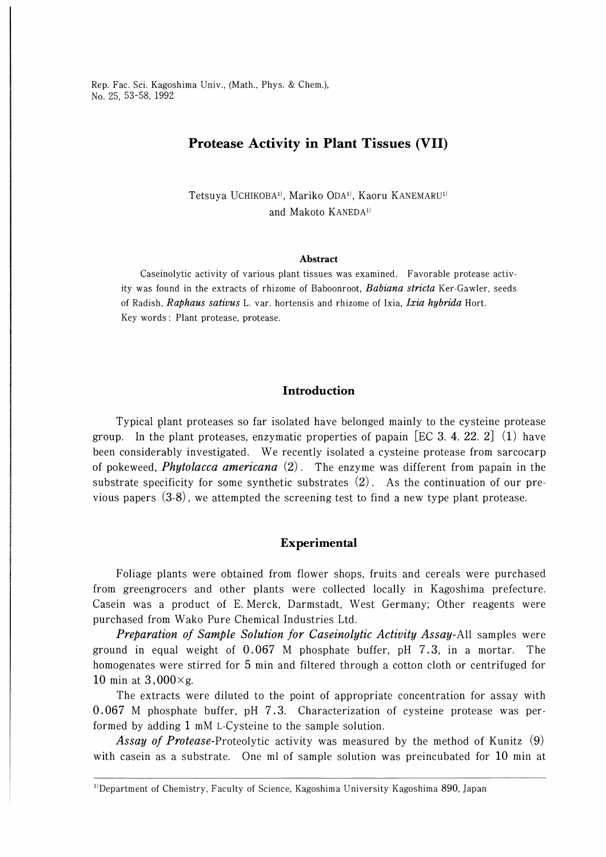Rep. Fac. Sci. Kagoshima Univ., (Math., Phys. & Chem.), No. 25, 53-58, 1992

# Protease Activity in Plant Tissues (VII)

Tetsuya UCHIKOBA<sup>1)</sup>, Mariko ODA<sup>1)</sup>, Kaoru KANEMARU<sup>1)</sup> and Makoto KANEDA<sup>1)</sup>

#### Abstract

Caseinolytic activity of various plant tissues was examined. Favorable protease activity was found in the extracts of rhizome of Baboonroot, Babiana stricta Ker-Gawler, seeds of Radish, Raphaus sativus L. var. hortensis and rhizome of Ixia, Ixia hybrida Hort. Key words : Plant protease, protease.

## Introduction

Typical plant proteases so far isolated have belonged mainly to the cysteine protease group. In the plant proteases, enzymatic properties of papain [EC 3. 4. 22. 2] (1) have been considerably investigated. We recently isolated a cysteine protease from sarcocarp of pokeweed, *Phytolacca americana* (2). The enzyme was different from papain in the substrate specificity for some synthetic substrates  $(2)$ . As the continuation of our previous papers (3-8), we attempted the screening test to find a new type plant protease.

### Experimental

Foliage plants were obtained from flower shops, fruits and cereals were purchased from greengrocers and other plants were collected locally in Kagoshima prefecture. Casein was a product of E.Merck, Darmstadt, West Germany; Other reagents were purchased from Wako Pure Chemical Industries Ltd.

**Preparation of Sample Solution for Caseinolytic Activity Assay-All samples were** ground in equal weight of 0.067 M phosphate buffer, pH 7.3, in a mortar. The homogenates were stirred for 5 min and filtered through a cotton cloth or centrifuged for 10 min at  $3,000\times g$ .

The extracts were diluted to the point of appropriate concentration for assay with 0.067 M phosphate buffer, pH 7.3. Characterization of cysteine protease was performed by adding 1 mM L-Cysteine to the sample solution.

Assay of Protease-Proteolytic activity was measured by the method of Kunitz (9) with casein as a substrate. One ml of sample solution was preincubated for 10 min at

<sup>&</sup>lt;sup>1)</sup>Department of Chemistry, Faculty of Science, Kagoshima University Kagoshima 890, Japan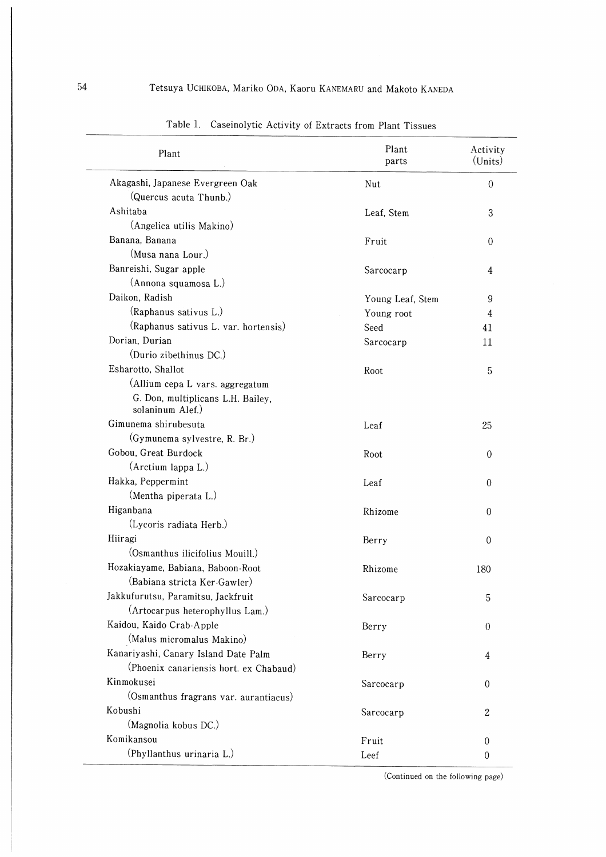| Plant                                                 | Plant<br>parts   | Activity<br>(Units) |
|-------------------------------------------------------|------------------|---------------------|
| Akagashi, Japanese Evergreen Oak                      | Nut              | $\mathbf{0}$        |
| (Quercus acuta Thunb.)                                |                  |                     |
| Ashitaba                                              | Leaf, Stem       | 3                   |
| (Angelica utilis Makino)                              |                  |                     |
| Banana, Banana                                        | Fruit            | 0                   |
| (Musa nana Lour.)                                     |                  |                     |
| Banreishi, Sugar apple                                | Sarcocarp        | 4                   |
| (Annona squamosa L.)                                  |                  |                     |
| Daikon, Radish                                        | Young Leaf, Stem | 9                   |
| (Raphanus sativus L.)                                 | Young root       | 4                   |
| (Raphanus sativus L. var. hortensis)                  | Seed             | 41                  |
| Dorian, Durian                                        | Sarcocarp        | 11                  |
| (Durio zibethinus DC.)                                |                  |                     |
| Esharotto, Shallot                                    | Root             | 5                   |
| (Allium cepa L vars. aggregatum                       |                  |                     |
| G. Don, multiplicans L.H. Bailey,<br>solaninum Alef.) |                  |                     |
| Gimunema shirubesuta                                  | Leaf             | 25                  |
| (Gymunema sylvestre, R. Br.)                          |                  |                     |
| Gobou, Great Burdock                                  | Root             | $\mathbf{0}$        |
| (Arctium lappa L.)                                    |                  |                     |
| Hakka, Peppermint                                     | Leaf             | 0                   |
| (Mentha piperata L.)                                  |                  |                     |
| Higanbana                                             | Rhizome          | 0                   |
| (Lycoris radiata Herb.)                               |                  |                     |
| Hiiragi                                               | Berry            | 0                   |
| (Osmanthus ilicifolius Mouill.)                       |                  |                     |
| Hozakiayame, Babiana, Baboon-Root                     | Rhizome          | 180                 |
| (Babiana stricta Ker-Gawler)                          |                  |                     |
| Jakkufurutsu, Paramitsu, Jackfruit                    | Sarcocarp        | 5                   |
| (Artocarpus heterophyllus Lam.)                       |                  |                     |
| Kaidou, Kaido Crab-Apple                              | Berry            | $\theta$            |
| (Malus micromalus Makino)                             |                  |                     |
| Kanariyashi, Canary Island Date Palm                  | Berry            | 4                   |
| (Phoenix canariensis hort. ex Chabaud)                |                  |                     |
| Kinmokusei                                            | Sarcocarp        | $\Omega$            |
| (Osmanthus fragrans var. aurantiacus)                 |                  |                     |
| Kobushi                                               | Sarcocarp        | $\boldsymbol{2}$    |
| (Magnolia kobus DC.)                                  |                  |                     |
| Komikansou                                            | Fruit            | $\theta$            |
| (Phyllanthus urinaria L.)                             | Leef             | 0                   |
|                                                       |                  |                     |

Table 1. Caseinolytic Activity of Extracts from Plant Tissues

(Continued on the following page)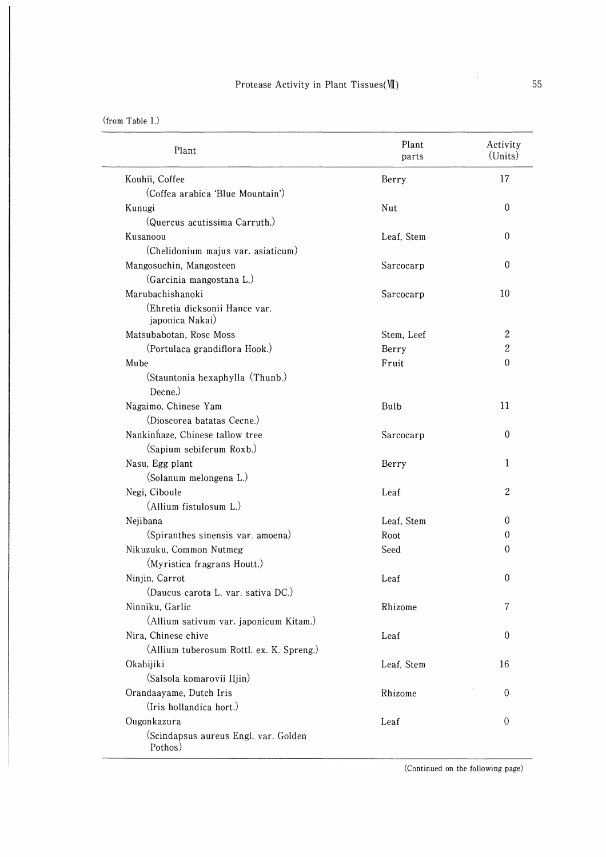| Plant                                            | Plant<br>parts | Activity<br>(Units) |
|--------------------------------------------------|----------------|---------------------|
| Kouhii, Coffee                                   | Berry          | 17                  |
| (Coffea arabica 'Blue Mountain')                 |                |                     |
| Kunugi                                           | Nut            | $\theta$            |
| (Quercus acutissima Carruth.)                    |                |                     |
| Kusanoou                                         | Leaf, Stem     | $\theta$            |
| (Chelidonium majus var. asiaticum)               |                |                     |
| Mangosuchin, Mangosteen                          | Sarcocarp      | 0                   |
| (Garcinia mangostana L.)                         |                |                     |
| Marubachishanoki                                 | Sarcocarp      | 10                  |
| (Ehretia dicksonii Hance var.<br>japonica Nakai) |                |                     |
| Matsubabotan, Rose Moss                          | Stem, Leef     | $\boldsymbol{2}$    |
| (Portulaca grandiflora Hook.)                    | Berry          | 2                   |
| Mube                                             | Fruit          | 0                   |
| (Stauntonia hexaphylla (Thunb.)                  |                |                     |
| Decne.)                                          |                |                     |
| Nagaimo, Chinese Yam                             | Bulb           | 11                  |
| (Dioscorea batatas Cecne.)                       |                |                     |
| Nankinhaze, Chinese tallow tree                  | Sarcocarp      | $\Omega$            |
| (Sapium sebiferum Roxb.)                         |                |                     |
| Nasu, Egg plant                                  | Berry          | 1                   |
| (Solanum melongena L.)                           |                |                     |
| Negi, Ciboule                                    | Leaf           | $\mathbf{2}$        |
| (Allium fistulosum L.)                           |                |                     |
| Nejibana                                         | Leaf, Stem     | 0                   |
| (Spiranthes sinensis var. amoena)                | <b>Root</b>    | 0                   |
| Nikuzuku, Common Nutmeg                          | Seed           | 0                   |
| (Myristica fragrans Houtt.)                      |                |                     |
| Ninjin, Carrot                                   | Leaf           | $\boldsymbol{0}$    |
| $\sim$<br>(Daucus carota L. var. sativa DC.)     |                |                     |
| Ninniku, Garlic                                  | Rhizome        | 7                   |
| (Allium sativum var. japonicum Kitam.)           |                |                     |
| Nira, Chinese chive                              | Leaf           | $\theta$            |
| (Allium tuberosum Rottl. ex. K. Spreng.)         |                |                     |
| Okahijiki                                        | Leaf, Stem     | 16                  |
| (Salsola komarovii Iljin)                        |                |                     |
| Orandaayame, Dutch Iris                          | Rhizome        | $\overline{0}$      |
| (Iris hollandica hort.)                          |                |                     |
| Ougonkazura                                      | Leaf           | $\theta$            |
| (Scindapsus aureus Engl. var. Golden<br>Pothos)  |                |                     |

(Continued on the following page)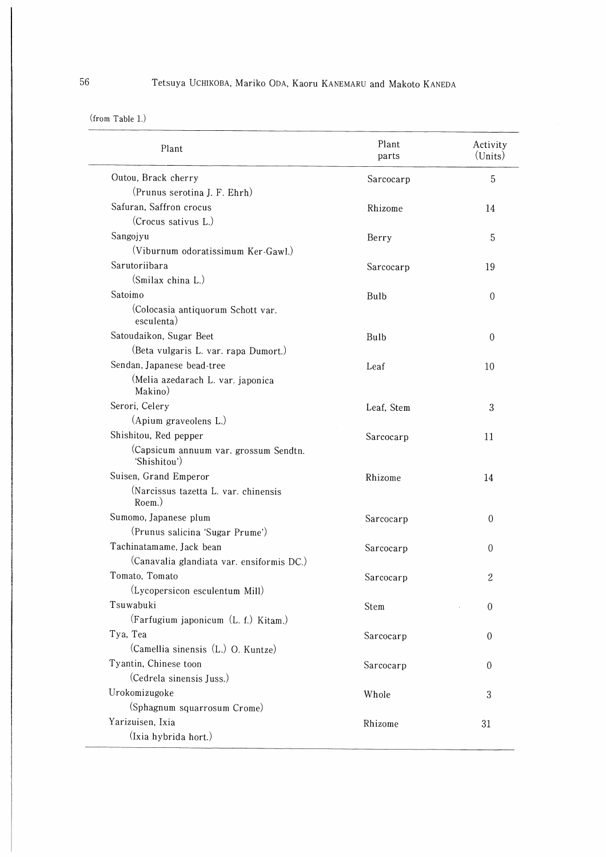(from Table 1.)

| Plant                                                 | Plant<br>parts | Activity<br>(Units) |
|-------------------------------------------------------|----------------|---------------------|
| Outou, Brack cherry                                   | Sarcocarp      | 5                   |
| (Prunus serotina J. F. Ehrh)                          |                |                     |
| Safuran, Saffron crocus                               | Rhizome        | 14                  |
| (Crocus sativus L.)                                   |                |                     |
| Sangojyu                                              | Berry          | 5                   |
| (Viburnum odoratissimum Ker-Gawl.)                    |                |                     |
| Sarutoriibara                                         | Sarcocarp      | 19                  |
| (Smilax china L.)                                     |                |                     |
| Satoimo                                               | Bulb           | $\theta$            |
| (Colocasia antiquorum Schott var.<br>esculenta)       |                |                     |
| Satoudaikon, Sugar Beet                               | Bulb           | $\Omega$            |
| (Beta vulgaris L. var. rapa Dumort.)                  |                |                     |
| Sendan, Japanese bead-tree                            | Leaf           | 10                  |
| (Melia azedarach L. var. japonica<br>Makino)          |                |                     |
| Serori, Celery                                        | Leaf, Stem     | 3                   |
| (Apium graveolens L.)                                 |                |                     |
| Shishitou, Red pepper                                 | Sarcocarp      | 11                  |
| (Capsicum annuum var. grossum Sendtn.<br>'Shishitou') |                |                     |
| Suisen, Grand Emperor                                 | Rhizome        | 14                  |
| (Narcissus tazetta L. var. chinensis<br>Roem.)        |                |                     |
| Sumomo, Japanese plum                                 | Sarcocarp      | $\Omega$            |
| (Prunus salicina 'Sugar Prume')                       |                |                     |
| Tachinatamame, Jack bean                              | Sarcocarp      | 0                   |
| (Canavalia glandiata var. ensiformis DC.)             |                |                     |
| Tomato, Tomato                                        | Sarcocarp      | 2                   |
| (Lycopersicon esculentum Mill)                        |                |                     |
| Tsuwabuki                                             | Stem           | $\theta$            |
| (Farfugium japonicum (L. f.) Kitam.)                  |                |                     |
| Tya, Tea                                              | Sarcocarp      | $\theta$            |
| (Camellia sinensis (L.) O. Kuntze)                    |                |                     |
| Tyantin, Chinese toon                                 | Sarcocarp      | $\theta$            |
| (Cedrela sinensis Juss.)                              |                |                     |
| Urokomizugoke                                         | Whole          | 3                   |
| (Sphagnum squarrosum Crome)                           |                |                     |
| Yarizuisen, Ixia<br>(Ixia hybrida hort.)              | Rhizome        | 31                  |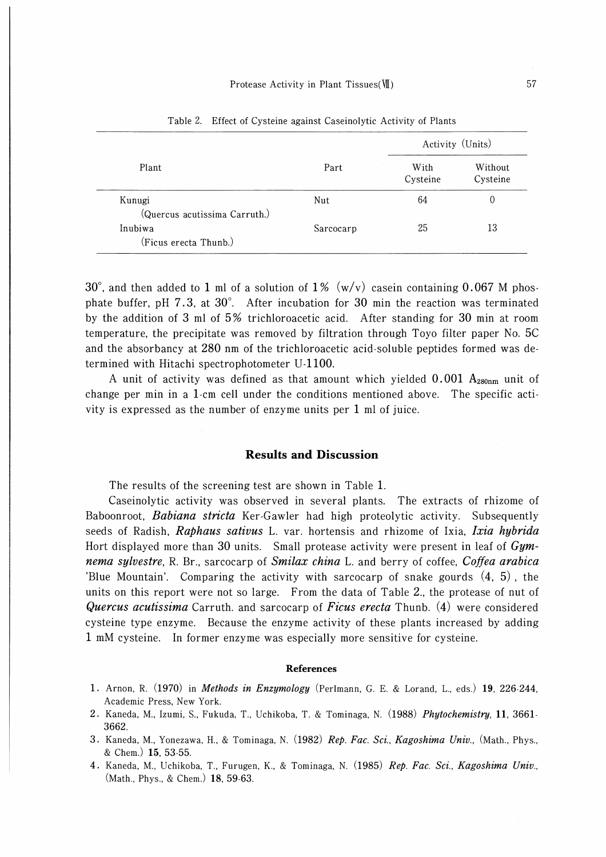|                               | Part      | Activity (Units) |                     |
|-------------------------------|-----------|------------------|---------------------|
| Plant                         |           | With<br>Cysteine | Without<br>Cysteine |
| Kunugi                        | Nut       | 64               | 0                   |
| (Quercus acutissima Carruth.) |           |                  |                     |
| Inubiwa                       | Sarcocarp | 25               | 13                  |
| (Ficus erecta Thunb.)         |           |                  |                     |

Table 2. Effect of Cysteine against Caseinolytic Activity of Plants

 $30^{\circ}$ , and then added to 1 ml of a solution of 1% (w/v) casein containing 0.067 M phosphate buffer, pH  $7.3$ , at  $30^{\circ}$ . After incubation for  $30$  min the reaction was terminated by the addition of 3 ml of 5% trichloroacetic acid. After standing for 30 min at room temperature, the precipitate was removed by filtration through Toyo filter paper No. 5C and the absorbancy at 280 nm of the trichloroacetic acid-soluble peptides formed was determined with Hitachi spectrophotometer U-1100.

A unit of activity was defined as that amount which yielded  $0.001$  A<sub>280nm</sub> unit of change per min in a 1-cm cell under the conditions mentioned above. The specific activity is expressed as the number of enzyme units per 1 ml of juice.

### Results and Discussion

The results of the screening test are shown in Table 1.

Caseinolytic activity was observed in several plants. The extracts of rhizome of Baboonroot, *Babiana stricta* Ker-Gawler had high proteolytic activity. Subsequently seeds of Radish, Raphaus sativus L. var. hortensis and rhizome of Ixia, Ixia hybrida Hort displayed more than 30 units. Small protease activity were present in leaf of  $Gym$ nema sylvestre, R. Br., sarcocarp of Smilax china L. and berry of coffee, Coffea arabica 'Blue Mountain'. Comparing the activity with sarcocarp of snake gourds (4, 5) , the units on this report were not so large. From the data of Table 2., the protease of nut of Quercus acutissima Carruth. and sarcocarp of Ficus erecta Thunb.  $(4)$  were considered cysteine type enzyme. Because the enzyme activity of these plants increased by adding 1 mM cysteine. In former enzyme was especially more sensitive for cysteine.

#### References

- 1. Arnon, R. (1970) in *Methods in Enzymology* (Perlmann, G. E. & Lorand, L., eds.) 19, 226-244, Academic Press, New York.
- 2. Kaneda, M., Izumi, S., Fukuda, T., Uchikoba, T. & Tominaga, N. (1988) Phytochemistry, 11, 3661-3662.
- 3. Kaneda, M., Yonezawa, H., & Tominaga, N. (1982) Rep. Fac. Sci., Kagoshima Univ., (Math., Phys., & Chem.) 15, 53-55.
- 4. Kaneda, M., Uchikoba, T., Furugen, K., & Tominaga, N. (1985) Rep. Fac. Sci., Kagoshima Univ., (Math., Phys., & Chem.) 18, 59-63.